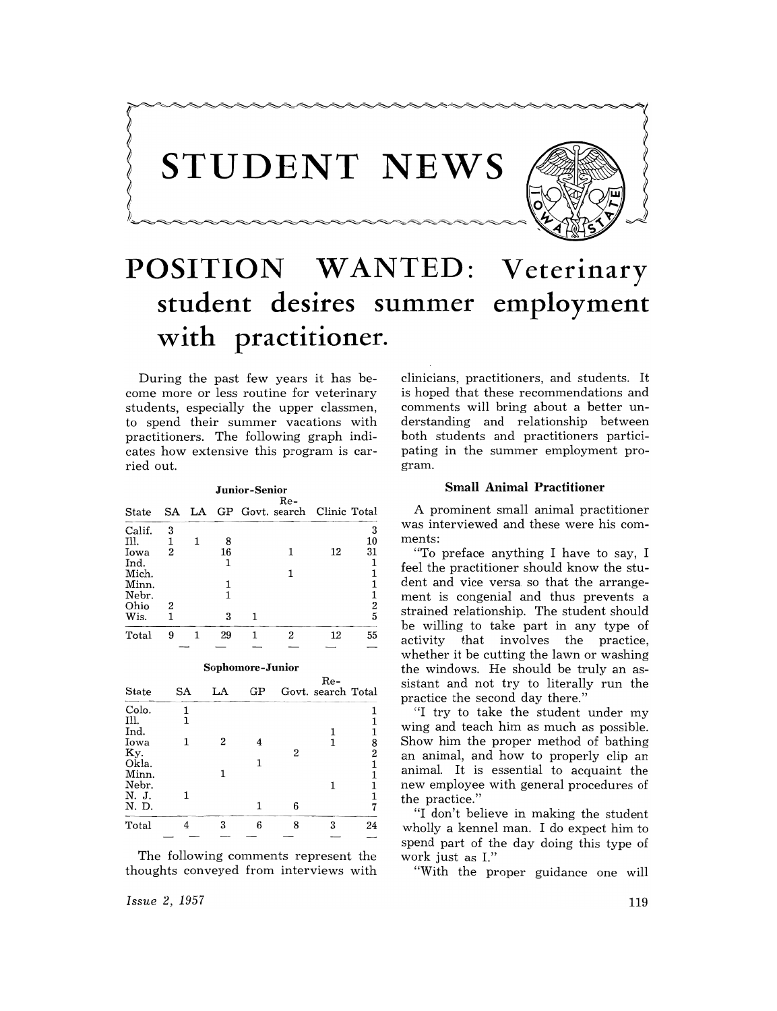

# **POSITION WANTED: Veterinary**  student desires summer employment **with**  • • **practitioner.**

During the past few years it has become more or less routine for veterinary students, especially the upper classmen, to spend their summer vacations with practitioners. The following graph indicates how extensive this program is carried out.



**S()I}Jhomore-Junior** 

| <b>State</b>   | SA | LA | GP |   | -nk<br>Govt. search Total |                     |
|----------------|----|----|----|---|---------------------------|---------------------|
| Colo.          |    |    |    |   |                           |                     |
| Ill.<br>Ind.   | 1  |    |    |   |                           |                     |
| Iowa           |    | 2  |    | 2 |                           | 8<br>$\overline{2}$ |
| Ky.<br>Okla.   |    |    |    |   |                           |                     |
| Minn.          |    |    |    |   |                           |                     |
| Nebr.<br>N. J. | 1  |    |    |   |                           |                     |
| N. D.          |    |    |    | 6 |                           | 7                   |
| Total          |    | 3  | 6  | 8 | 3                         | 24                  |
|                |    |    |    |   |                           |                     |

The following comments represent the thoughts conveyed from interviews with clinicians, practitioners, and students. It is hoped that these recommendations and comments will bring about a better understanding and relationship between both students and practitioners participating in the summer employment program.

### **Small Animal Practitioner**

A prominent small animal practitioner was interviewed and these were his comments:

"To preface anything I have to say, I feel the practitioner should know the student and vice versa so that the arrangement is congenial and thus prevents a strained relationship. The student should be willing to take part in any type of<br>activity that involves the practice. that involves the practice, whether it be cutting the lawn or washing the windows. He should be truly an assistant and not try to literally run the practice the second day there."

"I try to take the student under my wing and teach him as much as possible. Show him the proper method of bathing an animal, and how to properly clip an animal. It is essential to acquaint the new employee with general procedures of the practice."

"I don't believe in making the student wholly a kennel man. I do expect him to spend part of the day doing this type of work just as I."

"With the proper guidance one will

*Issue* 2, 1957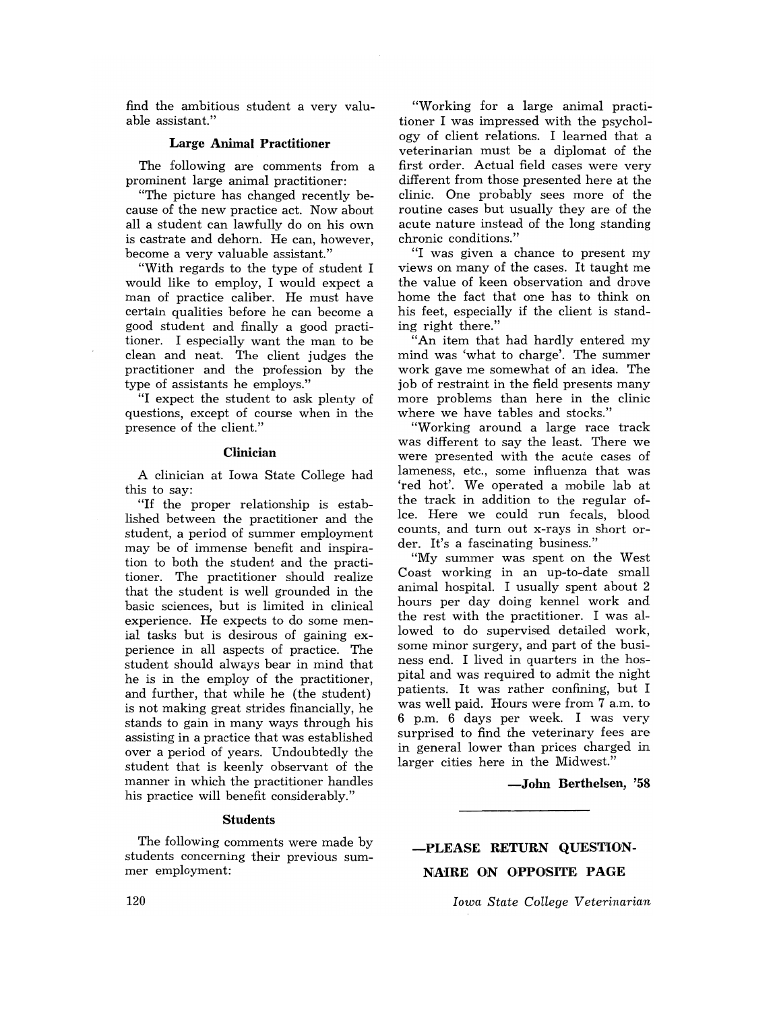find the ambitious student a very valuable assistant."

### Large Animal Practitioner

The following are comments from a prominent large animal practitioner:

"The picture has changed recently because of the new practice act. Now about all a student can lawfully do on his own is castrate and dehorn. He can, however, become a very valuable assistant."

"With regards to the type of student I would like to employ, I would expect a man of practice caliber. He must have certain qualities before he can become a good student and finally a good practitioner. I especially want the man to be clean and neat. The client judges the practitioner and the profession by the type of assistants he employs."

"I expect the student to ask plenty of questions, except of course when in the presence of the client."

#### Clinician

A clinician at Iowa State College had this to say:

"If the proper relationship is established between the practitioner and the student, a period of summer employment may be of immense benefit and inspiration to both the student and the practitioner. The practitioner should realize that the student is well grounded in the basic sciences, but is limited in clinical experience. He expects to do some menial tasks but is desirous of gaining experience in all aspects of practice. The student should always bear in mind that he is in the employ of the practitioner, and further, that while he (the student) is not making great strides financially, he stands to gain in many ways through his assisting in a practice that was established over a period of years. Undoubtedly the student that is keenly observant of the manner in which the practitioner handles his practice will benefit considerably."

### **Students**

The following comments were made by students concerning their previous summer employment:

"Working for a large animal practitioner I was impressed with the psychology of client relations. I learned that a veterinarian must be a diplomat of the first order. Actual field cases were very different from those presented here at the clinic. One probably sees more of the routine cases but usually they are of the acute nature instead of the long standing chronic conditions."

"I was given a chance to present my views on many of the cases. It taught me the value of keen observation and drove home the fact that one has to think on his feet, especially if the client is standing right there."

"An item that had hardly entered my mind was 'what to charge'. The summer work gave me somewhat of an idea. The job of restraint in the field presents many more problems than here in the clinic where we have tables and stocks.'

"Working around a large race track was different to say the least. There we were presented with the acute cases of lameness, etc., some influenza that was 'red hot'. We operated a mobile lab at the track in addition to the regular oflee. Here we could run fecals, blood counts, and turn out x-rays in short order. It's a fascinating business."

"My summer was spent on the West Coast working in an up-to-date small animal hospital. I usually spent about 2 hours per day doing kennel work and the rest with the practitioner. I was allowed to do supervised detailed work, some minor surgery, and part of the business end. I lived in quarters in the hospital and was required to admit the night patients. It was rather confining, but I was well paid. Hours were from 7 a.m. to 6 p.m. 6 days per week. I was very surprised to find the veterinary fees are in general lower than prices charged in larger cities here in the Midwest."

### -John Berthelsen, '58

# -PLEASE. RETURN QUESTiON-NAiRE ON OPPOSITE PAGE.

*Iowa State CoLLege Veterinarian*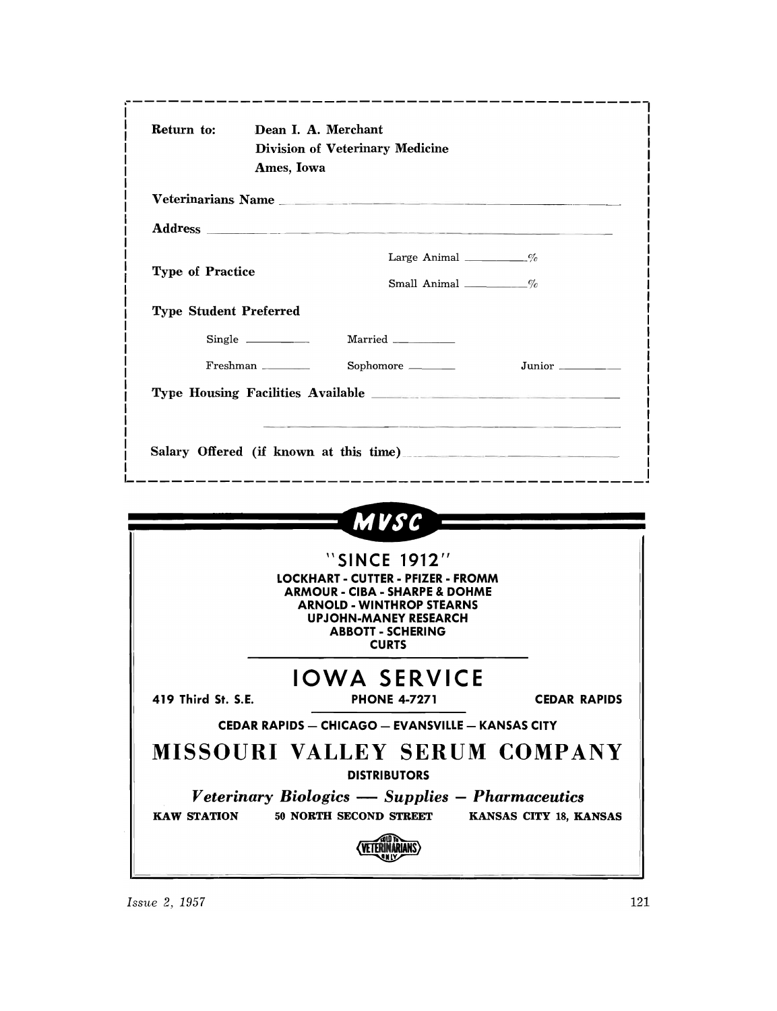| Return to:                    | Dean I. A. Merchant<br>Ames, Iowa | <b>Division of Veterinary Medicine</b>                                                                                                                                                                   |                                                                                |
|-------------------------------|-----------------------------------|----------------------------------------------------------------------------------------------------------------------------------------------------------------------------------------------------------|--------------------------------------------------------------------------------|
|                               |                                   | Veterinarians Name                                                                                                                                                                                       |                                                                                |
|                               |                                   |                                                                                                                                                                                                          |                                                                                |
|                               |                                   | Large Animal ___________%                                                                                                                                                                                |                                                                                |
| <b>Type of Practice</b>       |                                   | Small Animal $\frac{1}{\sqrt{6}}$                                                                                                                                                                        |                                                                                |
| <b>Type Student Preferred</b> |                                   |                                                                                                                                                                                                          |                                                                                |
|                               | $Single \_$                       | Married ____________                                                                                                                                                                                     |                                                                                |
|                               | Freshman                          | Sophomore ______                                                                                                                                                                                         | Junior _______                                                                 |
|                               |                                   |                                                                                                                                                                                                          |                                                                                |
|                               |                                   |                                                                                                                                                                                                          | Salary Offered (if known at this time)<br>------------------------------------ |
|                               |                                   | MVSC -                                                                                                                                                                                                   |                                                                                |
|                               |                                   | "SINCE 1912"<br>LOCKHART - CUTTER - PFIZER - FROMM<br><b>ARMOUR - CIBA - SHARPE &amp; DOHME</b><br><b>ARNOLD - WINTHROP STEARNS</b><br>UPJOHN-MANEY RESEARCH<br><b>ABBOTT - SCHERING</b><br><b>CURTS</b> |                                                                                |
|                               |                                   |                                                                                                                                                                                                          |                                                                                |
| 419 Third St. S.E.            |                                   | <b>IOWA SERVICE</b><br><b>PHONE 4-7271</b>                                                                                                                                                               | <b>CEDAR RAPIDS</b>                                                            |
|                               |                                   | <b>CEDAR RAPIDS - CHICAGO - EVANSVILLE - KANSAS CITY</b>                                                                                                                                                 |                                                                                |
|                               |                                   | <b>DISTRIBUTORS</b>                                                                                                                                                                                      | MISSOURI VALLEY SERUM COMPANY                                                  |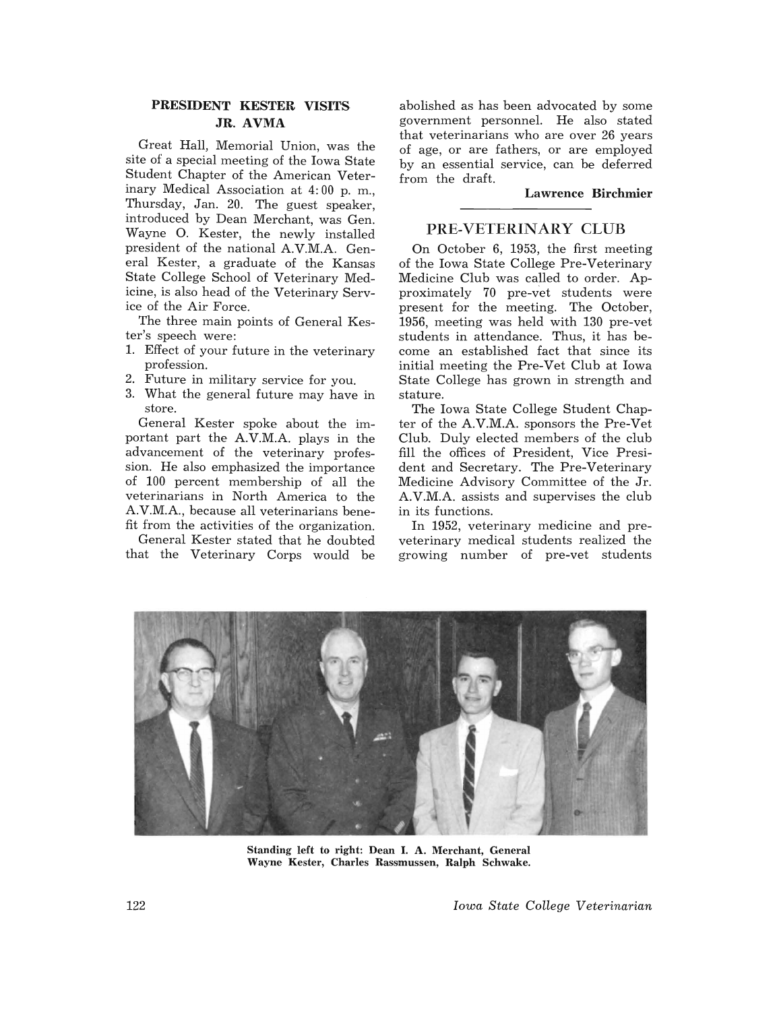# PRESIDENT KESTER VISITS JR. AVMA

Great Hall, Memorial Union, was the site of a special meeting of the Iowa State Student Chapter of the American Veterinary Medical Association at 4: 00 p. m., Thursday, Jan. 20. The guest speaker, introduced by Dean Merchant, was Gen. Wayne O. Kester, the newly installed president of the national A.V.M.A. General Kester, a graduate of the Kansas State College School of Veterinary Medicine, is also head of the Veterinary Service of the Air Force.

The three main points of General Kester's speech were:

- 1. Effect of your future in the veterinary profession.
- 2. Future in military service for you.
- 3. What the general future may have in store.

General Kester spoke about the important part the A.V.M.A. plays in the advancement of the veterinary profession. He also emphasized the importance of 100 percent membership of all the veterinarians in North America to the A.V.M.A., because all veterinarians benefit from the activities of the organization.

General Kester stated that he doubted that the Veterinary Corps would be abolished as has been advocated by some government personnel. He also stated that veterinarians who are over 26 years of age, or are fathers, or are employed by an essential service, can be deferred from the draft.

Lawrence Birchmier

## PRE-VETERINARY CLUB

On October 6, 1953, the first meeting of the Iowa State College Pre-Veterinary Medicine Club was called to order. Approximately 70 pre-vet students were present for the meeting. The October, 1956, meeting was held with 130 pre-vet students in attendance. Thus, it has become an established fact that since its initial meeting the Pre-Vet Club at Iowa State College has grown in strength and stature.

The Iowa State College Student Chapter of the A.V.M.A. sponsors the Pre-Vet Club. Duly elected members of the club fill the offices of President, Vice President and Secretary. The Pre-Veterinary Medicine Advisory Committee of the Jr. A.V.M.A. assists and supervises the club in its functions.

In 1952, veterinary medicine and preveterinary medical students realized the growing number of pre-vet students



Standing left to right: Dean I. A. Merchant, General Wayne Kester, Charles Rassmussen, Ralph Schwake.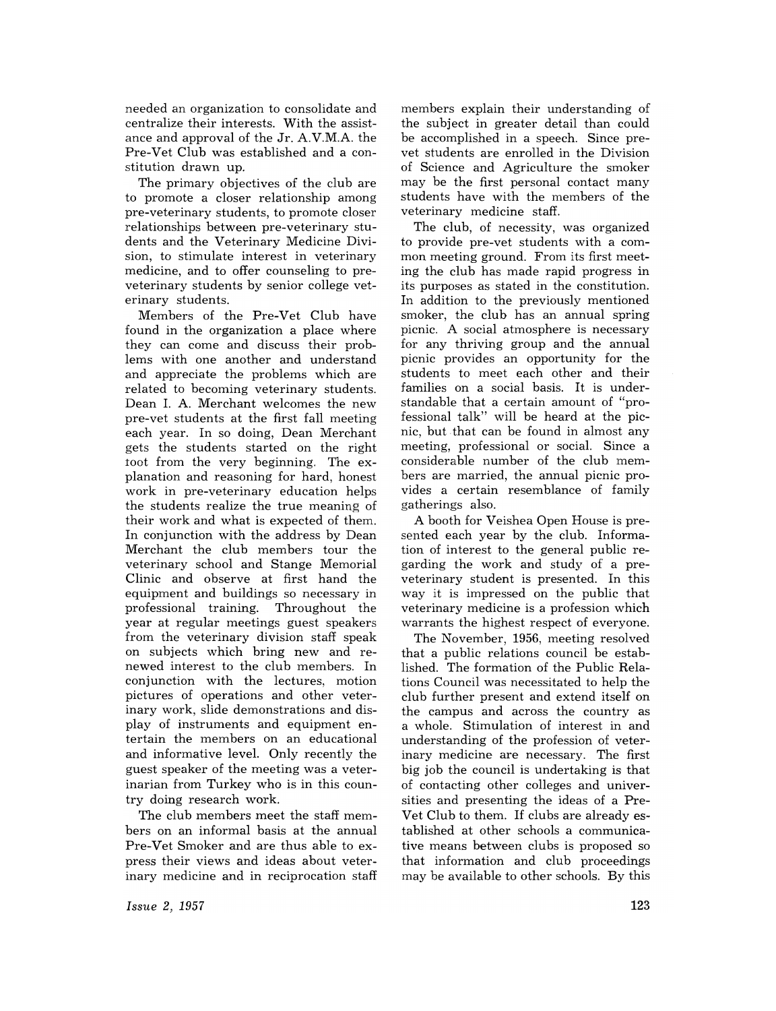needed an organization to consolidate and centralize their interests. With the assistance and approval of the Jr. A.V.M.A. the Pre-Vet Club was established and a constitution drawn up.

The primary objectives of the club are to promote a closer relationship among pre-veterinary students, to promote closer relationships between pre-veterinary students and the Veterinary Medicine Division, to stimulate interest in veterinary medicine, and to offer counseling to preveterinary students by senior college veterinary students.

Members of the Pre-Vet Club have found in the organization a place where they can come and discuss their problems with one another and understand and appreciate the problems which are related to becoming veterinary students. Dean I. A. Merchant welcomes the new pre-vet students at the first fall meeting each year. In so doing, Dean Merchant gets the students started on the right toot from the very beginning. The explanation and reasoning for hard, honest work in pre-veterinary education helps the students realize the true meaning of their work and what is expected of them. In conjunction with the address by Dean Merchant the club members tour the veterinary school and Stange Memorial Clinic and observe at first hand the equipment and buildings so necessary in professional training. Throughout the year at regular meetings guest speakers from the veterinary division staff speak on subjects which bring new and renewed interest to the club members. In conjunction with the lectures, motion pictures of operations and other veterinary work, slide demonstrations and display of instruments and equipment entertain the members on an educational and informative level. Only recently the guest speaker of the meeting was a veterinarian from Turkey who is in this country doing research work.

The club members meet the staff members on an informal basis at the annual Pre-Vet Smoker and are thus able to express their views and ideas about veterinary medicine and in reciprocation staff members explain their understanding of the subject in greater detail than could be accomplished in a speech. Since prevet students are enrolled in the Division of Science and Agriculture the smoker may be the first personal contact many students have with the members of the veterinary medicine staff.

The club, of necessity, was organized to provide pre-vet students with a common meeting ground. From its first meeting the club has made rapid progress in its purposes as stated in the constitution. In addition to the previously mentioned smoker, the club has an annual spring picnic. A social atmosphere is necessary for any thriving group and the annual picnic provides an opportunity for the students to meet each other and their families on a social basis. It is understandable that a certain amount of "professional talk" will be heard at the picnic, but that can be found in almost any meeting, professional or social. Since a considerable number of the club members are married, the annual picnic provides a certain resemblance of family gatherings also.

A booth for Veishea Open House is presented each year by the club. Information of interest to the general public regarding the work and study of a preveterinary student is presented. In this way it is impressed on the public that veterinary medicine is a profession which warrants the highest respect of everyone.

The November, 1956, meeting resolved that a public relations council be established. The formation of the Public Relations Council was necessitated to help the club further present and extend itself on the campus and across the country as a whole. Stimulation of interest in and understanding of the profession of veterinary medicine are necessary. The first big job the council is undertaking is that of contacting other colleges and universities and presenting the ideas of a Pre-Vet Club to them. If clubs are already established at other schools a communicative means between clubs is proposed so that information and club proceedings may be available to other schools. By this